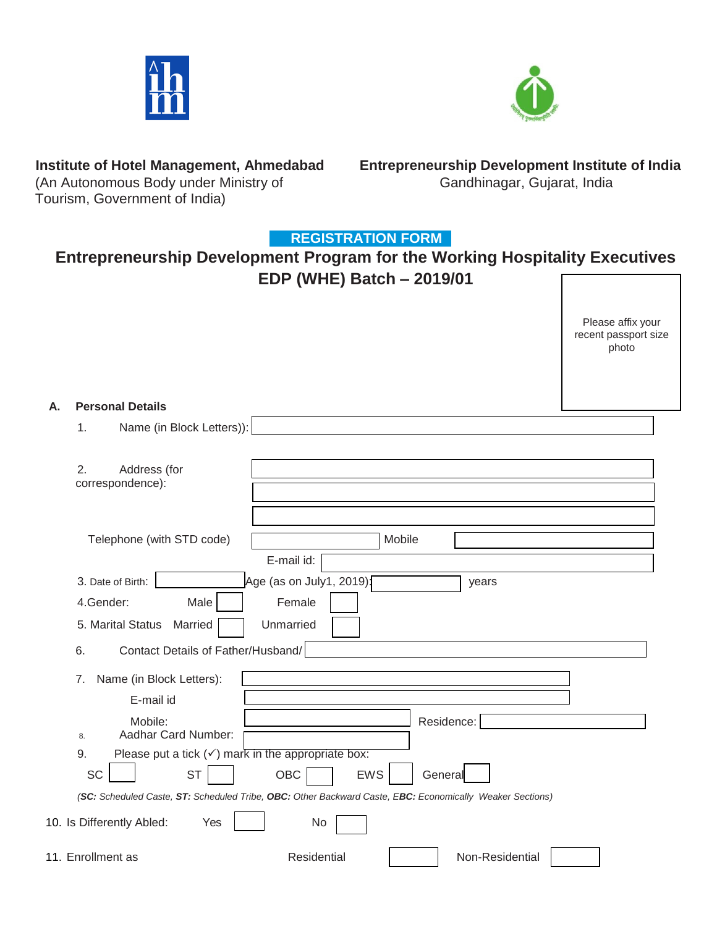



(An Autonomous Body under Ministry of Tourism, Government of India)

**Institute of Hotel Management, Ahmedabad Entrepreneurship Development Institute of India**

## **REGISTRATION FORM**

# **Entrepreneurship Development Program for the Working Hospitality Executives EDP (WHE) Batch – 2019/01**

|    |                                                                                                                                                                                                                                                                        | Please affix your<br>recent passport size<br>photo |
|----|------------------------------------------------------------------------------------------------------------------------------------------------------------------------------------------------------------------------------------------------------------------------|----------------------------------------------------|
| Α. | <b>Personal Details</b>                                                                                                                                                                                                                                                |                                                    |
|    | Name (in Block Letters)):<br>1.                                                                                                                                                                                                                                        |                                                    |
|    | 2.<br>Address (for<br>correspondence):                                                                                                                                                                                                                                 |                                                    |
|    | Telephone (with STD code)<br>Mobile                                                                                                                                                                                                                                    |                                                    |
|    | E-mail id:<br>Age (as on July1, 2019):<br>3. Date of Birth:<br>years<br>Female<br>4.Gender:<br>Male<br>5. Marital Status<br>Unmarried<br>Married<br>Contact Details of Father/Husband/<br>6.                                                                           |                                                    |
|    | Name (in Block Letters):<br>7.<br>E-mail id<br>Mobile:<br>Residence:                                                                                                                                                                                                   |                                                    |
|    | Aadhar Card Number:<br>8.<br>Please put a tick $(\checkmark)$ mark in the appropriate box:<br>9.<br><b>SC</b><br><b>ST</b><br>OBC<br><b>EWS</b><br>General<br>(SC: Scheduled Caste, ST: Scheduled Tribe, OBC: Other Backward Caste, EBC: Economically Weaker Sections) |                                                    |
|    | 10. Is Differently Abled:<br>No<br>Yes                                                                                                                                                                                                                                 |                                                    |
|    | 11. Enrollment as<br>Residential<br>Non-Residential                                                                                                                                                                                                                    |                                                    |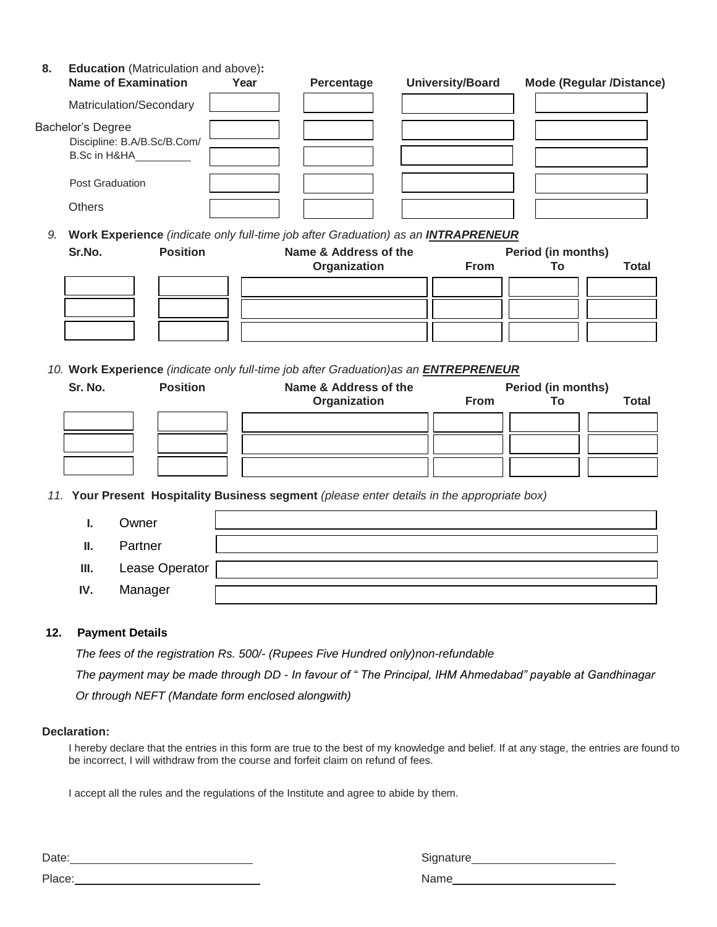**8. Education** (Matriculation and above)**:**

| <b>Name of Examination</b>                                       | Year | Percentage | <b>University/Board</b> | <b>Mode (Regular /Distance)</b> |
|------------------------------------------------------------------|------|------------|-------------------------|---------------------------------|
| Matriculation/Secondary                                          |      |            |                         |                                 |
| Bachelor's Degree<br>Discipline: B.A/B.Sc/B.Com/<br>B.Sc in H&HA |      |            |                         |                                 |
| <b>Post Graduation</b>                                           |      |            |                         |                                 |
| <b>Others</b>                                                    |      |            |                         |                                 |

*9.* **Work Experience** *(indicate only full-time job after Graduation) as an INTRAPRENEUR*

| Sr.No. | <b>Position</b> | Name & Address of the<br><b>Period (in months)</b> |             |    |              |
|--------|-----------------|----------------------------------------------------|-------------|----|--------------|
|        |                 | Organization                                       | <b>From</b> | To | <b>Total</b> |
|        |                 |                                                    |             |    |              |
|        |                 |                                                    |             |    |              |
|        |                 |                                                    |             |    |              |

*10.* **Work Experience** *(indicate only full-time job after Graduation)as an ENTREPRENEUR*

| Sr. No. | <b>Position</b> | Name & Address of the |             | <b>Period (in months)</b> |              |
|---------|-----------------|-----------------------|-------------|---------------------------|--------------|
|         |                 | Organization          | <b>From</b> |                           | <b>Total</b> |
|         |                 |                       |             |                           |              |
|         |                 |                       |             |                           |              |
|         |                 |                       |             |                           |              |

*11.* **Your Present Hospitality Business segment** *(please enter details in the appropriate box)*

|      | Owner          |  |
|------|----------------|--|
| Ш.   | Partner        |  |
| III. | Lease Operator |  |
| IV.  | Manager        |  |

#### **12. Payment Details**

*The fees of the registration Rs. 500/- (Rupees Five Hundred only)non-refundable* 

*The payment may be made through DD - In favour of " The Principal, IHM Ahmedabad" payable at Gandhinagar*

*Or through NEFT (Mandate form enclosed alongwith)*

#### **Declaration:**

I hereby declare that the entries in this form are true to the best of my knowledge and belief. If at any stage, the entries are found to be incorrect, I will withdraw from the course and forfeit claim on refund of fees.

I accept all the rules and the regulations of the Institute and agree to abide by them.

Date: 2008. [2010] [2010] [2010] [2010] [2010] [2010] [2010] [2010] [2010] [2010] [3010] [3010] [3010] [3010] [3010] [3010] [3010] [3010] [3010] [3010] [3010] [3010] [3010] [3010] [3010] [3010] [3010] [3010] [3010] [3010] Place: Name

| Signature |  |
|-----------|--|
|           |  |